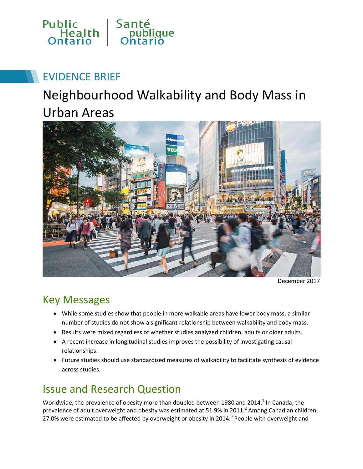

## EVIDENCE BRIEF

# Neighbourhood Walkability and Body Mass in Urban Areas



December 2017

## Key Messages

- While some studies show that people in more walkable areas have lower body mass, a similar number of studies do not show a significant relationship between walkability and body mass.
- Results were mixed regardless of whether studies analyzed children, adults or older adults.
- A recent increase in longitudinal studies improves the possibility of investigating causal relationships.
- Future studies should use standardized measures of walkability to facilitate synthesis of evidence across studies.

## Issue and Research Question

Worldwide, the prevalence of obesity more than doubled between 1980 and 2014.<sup>1</sup> In Canada, the prevalence of adult overweight and obesity was estimated at 51.9% in 2011.<sup>2</sup> Among Canadian children, 27.0% were estimated to be affected by overweight or obesity in 2014.<sup>3</sup> People with overweight and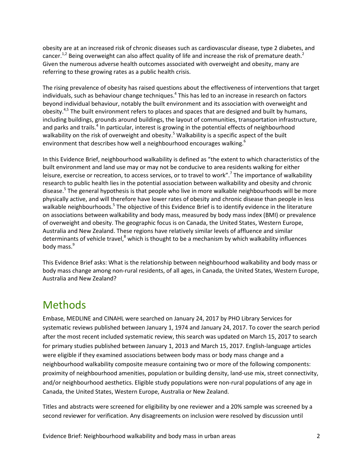obesity are at an increased risk of chronic diseases such as cardiovascular disease, type 2 diabetes, and cancer.<sup>1,2</sup> Being overweight can also affect quality of life and increase the risk of premature death.<sup>2</sup> Given the numerous adverse health outcomes associated with overweight and obesity, many are referring to these growing rates as a public health crisis.

The rising prevalence of obesity has raised questions about the effectiveness of interventions that target individuals, such as behaviour change techniques.<sup>4</sup> This has led to an increase in research on factors beyond individual behaviour, notably the built environment and its association with overweight and obesity.<sup>4,5</sup> The built environment refers to places and spaces that are designed and built by humans, including buildings, grounds around buildings, the layout of communities, transportation infrastructure, and parks and trails.<sup>4</sup> In particular, interest is growing in the potential effects of neighbourhood walkability on the risk of overweight and obesity.<sup>5</sup> Walkability is a specific aspect of the built environment that describes how well a neighbourhood encourages walking.<sup>6</sup>

In this Evidence Brief, neighbourhood walkability is defined as "the extent to which characteristics of the built environment and land use may or may not be conducive to area residents walking for either leisure, exercise or recreation, to access services, or to travel to work".<sup>7</sup> The importance of walkability research to public health lies in the potential association between walkability and obesity and chronic disease.<sup>5</sup> The general hypothesis is that people who live in more walkable neighbourhoods will be more physically active, and will therefore have lower rates of obesity and chronic disease than people in less walkable neighbourhoods.<sup>5</sup> The objective of this Evidence Brief is to identify evidence in the literature on associations between walkability and body mass, measured by body mass index (BMI) or prevalence of overweight and obesity. The geographic focus is on Canada, the United States, Western Europe, Australia and New Zealand. These regions have relatively similar levels of affluence and similar determinants of vehicle travel, $8$  which is thought to be a mechanism by which walkability influences body mass.<sup>9</sup>

This Evidence Brief asks: What is the relationship between neighbourhood walkability and body mass or body mass change among non-rural residents, of all ages, in Canada, the United States, Western Europe, Australia and New Zealand?

#### Methods

Embase, MEDLINE and CINAHL were searched on January 24, 2017 by PHO Library Services for systematic reviews published between January 1, 1974 and January 24, 2017. To cover the search period after the most recent included systematic review, this search was updated on March 15, 2017 to search for primary studies published between January 1, 2013 and March 15, 2017. English-language articles were eligible if they examined associations between body mass or body mass change and a neighbourhood walkability composite measure containing two or more of the following components: proximity of neighbourhood amenities, population or building density, land-use mix, street connectivity, and/or neighbourhood aesthetics. Eligible study populations were non-rural populations of any age in Canada, the United States, Western Europe, Australia or New Zealand.

Titles and abstracts were screened for eligibility by one reviewer and a 20% sample was screened by a second reviewer for verification. Any disagreements on inclusion were resolved by discussion until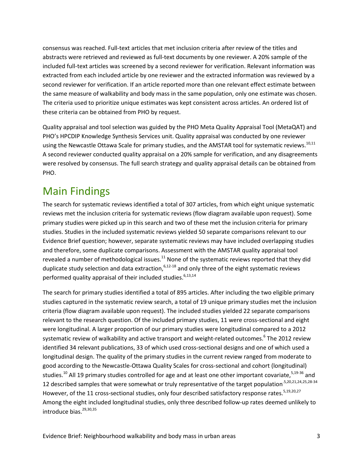consensus was reached. Full-text articles that met inclusion criteria after review of the titles and abstracts were retrieved and reviewed as full-text documents by one reviewer. A 20% sample of the included full-text articles was screened by a second reviewer for verification. Relevant information was extracted from each included article by one reviewer and the extracted information was reviewed by a second reviewer for verification. If an article reported more than one relevant effect estimate between the same measure of walkability and body mass in the same population, only one estimate was chosen. The criteria used to prioritize unique estimates was kept consistent across articles. An ordered list of these criteria can be obtained from PHO by request.

Quality appraisal and tool selection was guided by the PHO Meta Quality Appraisal Tool (MetaQAT) and PHO's HPCDIP Knowledge Synthesis Services unit. Quality appraisal was conducted by one reviewer using the Newcastle Ottawa Scale for primary studies, and the AMSTAR tool for systematic reviews.<sup>10,11</sup> A second reviewer conducted quality appraisal on a 20% sample for verification, and any disagreements were resolved by consensus. The full search strategy and quality appraisal details can be obtained from PHO.

### Main Findings

The search for systematic reviews identified a total of 307 articles, from which eight unique systematic reviews met the inclusion criteria for systematic reviews (flow diagram available upon request). Some primary studies were picked up in this search and two of these met the inclusion criteria for primary studies. Studies in the included systematic reviews yielded 50 separate comparisons relevant to our Evidence Brief question; however, separate systematic reviews may have included overlapping studies and therefore, some duplicate comparisons. Assessment with the AMSTAR quality appraisal tool revealed a number of methodological issues. $11$  None of the systematic reviews reported that they did duplicate study selection and data extraction,  $6,12-18$  and only three of the eight systematic reviews performed quality appraisal of their included studies.<sup>6,13,14</sup>

The search for primary studies identified a total of 895 articles. After including the two eligible primary studies captured in the systematic review search, a total of 19 unique primary studies met the inclusion criteria (flow diagram available upon request). The included studies yielded 22 separate comparisons relevant to the research question. Of the included primary studies, 11 were cross-sectional and eight were longitudinal. A larger proportion of our primary studies were longitudinal compared to a 2012 systematic review of walkability and active transport and weight-related outcomes.<sup>6</sup> The 2012 review identified 34 relevant publications, 33 of which used cross-sectional designs and one of which used a longitudinal design. The quality of the primary studies in the current review ranged from moderate to good according to the Newcastle-Ottawa Quality Scales for cross-sectional and cohort (longitudinal) studies.<sup>10</sup> All 19 primary studies controlled for age and at least one other important covariate,<sup>5,19-36</sup> and 12 described samples that were somewhat or truly representative of the target population<sup>.5,20,21,24,25,28-34</sup> However, of the 11 cross-sectional studies, only four described satisfactory response rates.<sup>5,19,20,27</sup> Among the eight included longitudinal studies, only three described follow-up rates deemed unlikely to introduce bias. $29,30,35$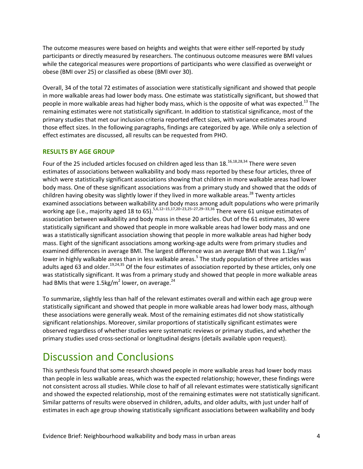The outcome measures were based on heights and weights that were either self-reported by study participants or directly measured by researchers. The continuous outcome measures were BMI values while the categorical measures were proportions of participants who were classified as overweight or obese (BMI over 25) or classified as obese (BMI over 30).

Overall, 34 of the total 72 estimates of association were statistically significant and showed that people in more walkable areas had lower body mass. One estimate was statistically significant, but showed that people in more walkable areas had higher body mass, which is the opposite of what was expected.<sup>13</sup> The remaining estimates were not statistically significant. In addition to statistical significance, most of the primary studies that met our inclusion criteria reported effect sizes, with variance estimates around those effect sizes. In the following paragraphs, findings are categorized by age. While only a selection of effect estimates are discussed, all results can be requested from PHO.

#### **RESULTS BY AGE GROUP**

Four of the 25 included articles focused on children aged less than  $18.16,18,28,34$  There were seven estimates of associations between walkability and body mass reported by these four articles, three of which were statistically significant associations showing that children in more walkable areas had lower body mass. One of these significant associations was from a primary study and showed that the odds of children having obesity was slightly lower if they lived in more walkable areas.<sup>28</sup> Twenty articles examined associations between walkability and body mass among adult populations who were primarily working age (i.e., majority aged 18 to 65).<sup>5,6,12–15,17,20–23,25–27,29–33,36</sup> There were 61 unique estimates of association between walkability and body mass in these 20 articles. Out of the 61 estimates, 30 were statistically significant and showed that people in more walkable areas had lower body mass and one was a statistically significant association showing that people in more walkable areas had higher body mass. Eight of the significant associations among working-age adults were from primary studies and examined differences in average BMI. The largest difference was an average BMI that was 1.1kg/ $m^2$ lower in highly walkable areas than in less walkable areas.<sup>5</sup> The study population of three articles was adults aged 63 and older.<sup>19,24,35</sup> Of the four estimates of association reported by these articles, only one was statistically significant. It was from a primary study and showed that people in more walkable areas had BMIs that were 1.5kg/m<sup>2</sup> lower, on average.<sup>24</sup>

To summarize, slightly less than half of the relevant estimates overall and within each age group were statistically significant and showed that people in more walkable areas had lower body mass, although these associations were generally weak. Most of the remaining estimates did not show statistically significant relationships. Moreover, similar proportions of statistically significant estimates were observed regardless of whether studies were systematic reviews or primary studies, and whether the primary studies used cross-sectional or longitudinal designs (details available upon request).

#### Discussion and Conclusions

This synthesis found that some research showed people in more walkable areas had lower body mass than people in less walkable areas, which was the expected relationship; however, these findings were not consistent across all studies. While close to half of all relevant estimates were statistically significant and showed the expected relationship, most of the remaining estimates were not statistically significant. Similar patterns of results were observed in children, adults, and older adults, with just under half of estimates in each age group showing statistically significant associations between walkability and body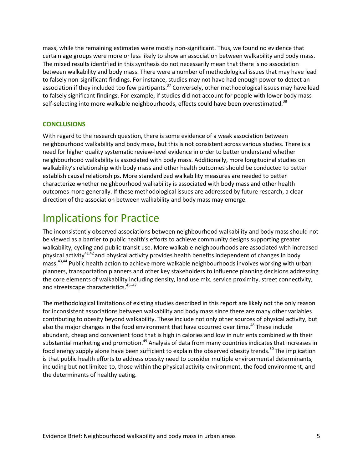mass, while the remaining estimates were mostly non-significant. Thus, we found no evidence that certain age groups were more or less likely to show an association between walkability and body mass. The mixed results identified in this synthesis do not necessarily mean that there is no association between walkability and body mass. There were a number of methodological issues that may have lead to falsely non-significant findings. For instance, studies may not have had enough power to detect an association if they included too few partipants.<sup>37</sup> Conversely, other methodological issues may have lead to falsely significant findings. For example, if studies did not account for people with lower body mass self-selecting into more walkable neighbourhoods, effects could have been overestimated.<sup>38</sup>

#### **CONCLUSIONS**

With regard to the research question, there is some evidence of a weak association between neighbourhood walkability and body mass, but this is not consistent across various studies. There is a need for higher quality systematic review-level evidence in order to better understand whether neighbourhood walkability is associated with body mass. Additionally, more longitudinal studies on walkability's relationship with body mass and other health outcomes should be conducted to better establish causal relationships. More standardized walkability measures are needed to better characterize whether neighbourhood walkability is associated with body mass and other health outcomes more generally. If these methodological issues are addressed by future research, a clear direction of the association between walkability and body mass may emerge.

#### Implications for Practice

The inconsistently observed associations between neighbourhood walkability and body mass should not be viewed as a barrier to public health's efforts to achieve community designs supporting greater walkability, cycling and public transit use. More walkable neighbourhoods are associated with increased physical activity<sup>41,42</sup> and physical activity provides health benefits independent of changes in body mass.<sup>43,44</sup> Public health action to achieve more walkable neighbourhoods involves working with urban planners, transportation planners and other key stakeholders to influence planning decisions addressing the core elements of walkability including density, land use mix, service proximity, street connectivity, and streetscape characteristics.<sup>45-47</sup>

The methodological limitations of existing studies described in this report are likely not the only reason for inconsistent associations between walkability and body mass since there are many other variables contributing to obesity beyond walkability. These include not only other sources of physical activity, but also the major changes in the food environment that have occurred over time.<sup>48</sup> These include abundant, cheap and convenient food that is high in calories and low in nutrients combined with their substantial marketing and promotion.<sup>49</sup> Analysis of data from many countries indicates that increases in food energy supply alone have been sufficient to explain the observed obesity trends.<sup>50</sup> The implication is that public health efforts to address obesity need to consider multiple environmental determinants, including but not limited to, those within the physical activity environment, the food environment, and the determinants of healthy eating.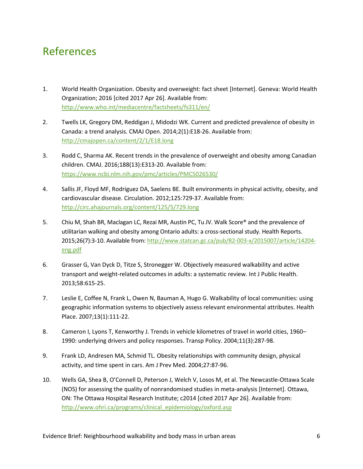## References

- 1. World Health Organization. Obesity and overweight: fact sheet [Internet]. Geneva: World Health Organization; 2016 [cited 2017 Apr 26]. Available from: <http://www.who.int/mediacentre/factsheets/fs311/en/>
- 2. Twells LK, Gregory DM, Reddigan J, Midodzi WK. Current and predicted prevalence of obesity in Canada: a trend analysis. CMAJ Open. 2014;2(1):E18-26. Available from: <http://cmajopen.ca/content/2/1/E18.long>
- 3. Rodd C, Sharma AK. Recent trends in the prevalence of overweight and obesity among Canadian children. CMAJ. 2016;188(13):E313-20. Available from: <https://www.ncbi.nlm.nih.gov/pmc/articles/PMC5026530/>
- 4. Sallis JF, Floyd MF, Rodriguez DA, Saelens BE. Built environments in physical activity, obesity, and cardiovascular disease. Circulation. 2012;125:729-37. Available from: <http://circ.ahajournals.org/content/125/5/729.long>
- 5. Chiu M, Shah BR, Maclagan LC, Rezai MR, Austin PC, Tu JV. Walk Score® and the prevalence of utilitarian walking and obesity among Ontario adults: a cross-sectional study. Health Reports. 2015;26(7):3-10. Available from: [http://www.statcan.gc.ca/pub/82-003-x/2015007/article/14204](http://www.statcan.gc.ca/pub/82-003-x/2015007/article/14204-eng.pdf) [eng.pdf](http://www.statcan.gc.ca/pub/82-003-x/2015007/article/14204-eng.pdf)
- 6. Grasser G, Van Dyck D, Titze S, Stronegger W. Objectively measured walkability and active transport and weight-related outcomes in adults: a systematic review. Int J Public Health. 2013;58:615-25.
- 7. Leslie E, Coffee N, Frank L, Owen N, Bauman A, Hugo G. Walkability of local communities: using geographic information systems to objectively assess relevant environmental attributes. Health Place. 2007;13(1):111-22.
- 8. Cameron I, Lyons T, Kenworthy J. Trends in vehicle kilometres of travel in world cities, 1960– 1990: underlying drivers and policy responses. Transp Policy. 2004;11(3):287-98.
- 9. Frank LD, Andresen MA, Schmid TL. Obesity relationships with community design, physical activity, and time spent in cars. Am J Prev Med. 2004;27:87-96.
- 10. Wells GA, Shea B, O'Connell D, Peterson J, Welch V, Losos M, et al. The Newcastle-Ottawa Scale (NOS) for assessing the quality of nonrandomised studies in meta-analysis [Internet]. Ottawa, ON: The Ottawa Hospital Research Institute; c2014 [cited 2017 Apr 26]. Available from: [http://www.ohri.ca/programs/clinical\\_epidemiology/oxford.asp](http://www.ohri.ca/programs/clinical_epidemiology/oxford.asp)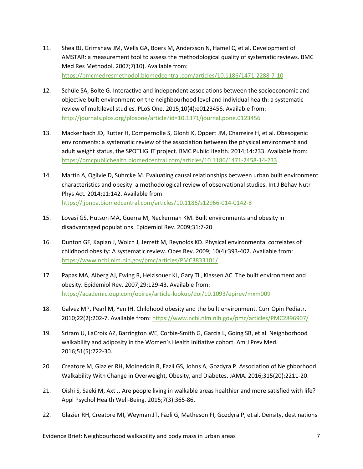- 11. Shea BJ, Grimshaw JM, Wells GA, Boers M, Andersson N, Hamel C, et al. Development of AMSTAR: a measurement tool to assess the methodological quality of systematic reviews. BMC Med Res Methodol. 2007;7(10). Available from: <https://bmcmedresmethodol.biomedcentral.com/articles/10.1186/1471-2288-7-10>
- 12. Schüle SA, Bolte G. Interactive and independent associations between the socioeconomic and objective built environment on the neighbourhood level and individual health: a systematic review of multilevel studies. PLoS One. 2015;10(4):e0123456. Available from: <http://journals.plos.org/plosone/article?id=10.1371/journal.pone.0123456>
- 13. Mackenbach JD, Rutter H, Compernolle S, Glonti K, Oppert JM, Charreire H, et al. Obesogenic environments: a systematic review of the association between the physical environment and adult weight status, the SPOTLIGHT project. BMC Public Health. 2014;14:233. Available from: <https://bmcpublichealth.biomedcentral.com/articles/10.1186/1471-2458-14-233>
- 14. Martin A, Ogilvie D, Suhrcke M. Evaluating causal relationships between urban built environment characteristics and obesity: a methodological review of observational studies. Int J Behav Nutr Phys Act*.* 2014;11:142. Available from: <https://ijbnpa.biomedcentral.com/articles/10.1186/s12966-014-0142-8>
- 15. Lovasi GS, Hutson MA, Guerra M, Neckerman KM. Built environments and obesity in disadvantaged populations. Epidemiol Rev. 2009;31:7-20.
- 16. Dunton GF, Kaplan J, Wolch J, Jerrett M, Reynolds KD. Physical environmental correlates of childhood obesity: A systematic review. Obes Rev. 2009; 10(4):393-402. Available from: <https://www.ncbi.nlm.nih.gov/pmc/articles/PMC3833101/>
- 17. Papas MA, Alberg AJ, Ewing R, Helzlsouer KJ, Gary TL, Klassen AC. The built environment and obesity. Epidemiol Rev. 2007;29:129-43. Available from: <https://academic.oup.com/epirev/article-lookup/doi/10.1093/epirev/mxm009>
- 18. Galvez MP, Pearl M, Yen IH. Childhood obesity and the built environment. Curr Opin Pediatr. 2010;22(2):202-7. Available from:<https://www.ncbi.nlm.nih.gov/pmc/articles/PMC2896907/>
- 19. Sriram U, LaCroix AZ, Barrington WE, Corbie-Smith G, Garcia L, Going SB, et al. Neighborhood walkability and adiposity in the Women's Health Initiative cohort. Am J Prev Med. 2016;51(5):722-30.
- 20. Creatore M, Glazier RH, Moineddin R, Fazli GS, Johns A, Gozdyra P. Association of Neighborhood Walkability With Change in Overweight, Obesity, and Diabetes. JAMA. 2016;315(20):2211-20.
- 21. Oishi S, Saeki M, Axt J. Are people living in walkable areas healthier and more satisfied with life? Appl Psychol Health Well-Being. 2015;7(3):365-86.
- 22. Glazier RH, Creatore MI, Weyman JT, Fazli G, Matheson FI, Gozdyra P, et al. Density, destinations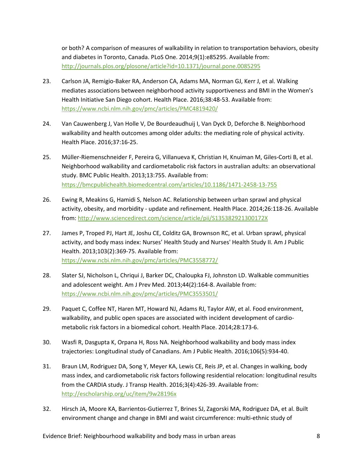or both? A comparison of measures of walkability in relation to transportation behaviors, obesity and diabetes in Toronto, Canada. PLoS One. 2014;9(1):e85295. Available from: <http://journals.plos.org/plosone/article?id=10.1371/journal.pone.0085295>

- 23. Carlson JA, Remigio-Baker RA, Anderson CA, Adams MA, Norman GJ, Kerr J, et al. Walking mediates associations between neighborhood activity supportiveness and BMI in the Women's Health Initiative San Diego cohort. Health Place. 2016;38:48-53. Available from: <https://www.ncbi.nlm.nih.gov/pmc/articles/PMC4819420/>
- 24. Van Cauwenberg J, Van Holle V, De Bourdeaudhuij I, Van Dyck D, Deforche B. Neighborhood walkability and health outcomes among older adults: the mediating role of physical activity. Health Place. 2016;37:16-25.
- 25. Müller-Riemenschneider F, Pereira G, Villanueva K, Christian H, Knuiman M, Giles-Corti B, et al. Neighborhood walkability and cardiometabolic risk factors in australian adults: an observational study. BMC Public Health. 2013;13:755. Available from: <https://bmcpublichealth.biomedcentral.com/articles/10.1186/1471-2458-13-755>
- 26. Ewing R, Meakins G, Hamidi S, Nelson AC. Relationship between urban sprawl and physical activity, obesity, and morbidity - update and refinement. Health Place. 2014;26:118-26. Available from:<http://www.sciencedirect.com/science/article/pii/S135382921300172X>
- 27. James P, Troped PJ, Hart JE, Joshu CE, Colditz GA, Brownson RC, et al. Urban sprawl, physical activity, and body mass index: Nurses' Health Study and Nurses' Health Study II. Am J Public Health. 2013;103(2):369-75. Available from: <https://www.ncbi.nlm.nih.gov/pmc/articles/PMC3558772/>
- 28. Slater SJ, Nicholson L, Chriqui J, Barker DC, Chaloupka FJ, Johnston LD. Walkable communities and adolescent weight. Am J Prev Med. 2013;44(2):164-8. Available from: <https://www.ncbi.nlm.nih.gov/pmc/articles/PMC3553501/>
- 29. Paquet C, Coffee NT, Haren MT, Howard NJ, Adams RJ, Taylor AW, et al. Food environment, walkability, and public open spaces are associated with incident development of cardiometabolic risk factors in a biomedical cohort. Health Place. 2014;28:173-6.
- 30. Wasfi R, Dasgupta K, Orpana H, Ross NA. Neighborhood walkability and body mass index trajectories: Longitudinal study of Canadians. Am J Public Health. 2016;106(5):934-40.
- 31. Braun LM, Rodriguez DA, Song Y, Meyer KA, Lewis CE, Reis JP, et al. Changes in walking, body mass index, and cardiometabolic risk factors following residential relocation: longitudinal results from the CARDIA study. J Transp Health. 2016;3(4):426-39. Available from: <http://escholarship.org/uc/item/9w28196x>
- 32. Hirsch JA, Moore KA, Barrientos-Gutierrez T, Brines SJ, Zagorski MA, Rodriguez DA, et al. Built environment change and change in BMI and waist circumference: multi-ethnic study of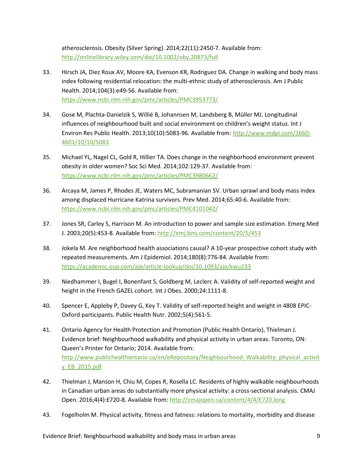atherosclerosis. Obesity (Silver Spring). 2014;22(11):2450-7. Available from: <http://onlinelibrary.wiley.com/doi/10.1002/oby.20873/full>

- 33. Hirsch JA, Diez Roux AV, Moore KA, Evenson KR, Rodriguez DA. Change in walking and body mass index following residential relocation: the multi-ethnic study of atherosclerosis. Am J Public Health. 2014;104(3):e49-56. Available from: <https://www.ncbi.nlm.nih.gov/pmc/articles/PMC3953773/>
- 34. Gose M, Plachta-Danielzik S, Willié B, Johannsen M, Landsberg B, Müller MJ. Longitudinal influences of neighbourhood built and social environment on children's weight status. Int J Environ Res Public Health. 2013;10(10):5083-96. Available from[: http://www.mdpi.com/1660-](http://www.mdpi.com/1660-4601/10/10/5083) [4601/10/10/5083](http://www.mdpi.com/1660-4601/10/10/5083)
- 35. Michael YL, Nagel CL, Gold R, Hillier TA. Does change in the neighborhood environment prevent obesity in older women? Soc Sci Med. 2014;102:129-37. Available from: <https://www.ncbi.nlm.nih.gov/pmc/articles/PMC3980662/>
- 36. Arcaya M, James P, Rhodes JE, Waters MC, Subramanian SV. Urban sprawl and body mass index among displaced Hurricane Katrina survivors. Prev Med. 2014;65:40-6. Available from: <https://www.ncbi.nlm.nih.gov/pmc/articles/PMC4101042/>
- 37. Jones SR, Carley S, Harrison M. An introduction to power and sample size estimation. Emerg Med J. 2003;20(5):453-8. Available from[: http://emj.bmj.com/content/20/5/453](http://emj.bmj.com/content/20/5/453)
- 38. Jokela M. Are neighborhood health associations causal? A 10-year prospective cohort study with repeated measurements. Am J Epidemiol. 2014;180(8):776-84. Available from: <https://academic.oup.com/aje/article-lookup/doi/10.1093/aje/kwu233>
- 39. Niedhammer I, Bugel I, Bonenfant S, Goldberg M, Leclerc A. Validity of self-reported weight and height in the French GAZEL cohort. Int J Obes. 2000;24:1111-8.
- 40. Spencer E, Appleby P, Davey G, Key T. Validity of self-reported height and weight in 4808 EPIC-Oxford participants. Public Health Nutr. 2002;5(4):561-5.
- 41. Ontario Agency for Health Protection and Promotion (Public Health Ontario), Thielman J. Evidence brief: Neighbourhood walkability and physical activity in urban areas. Toronto, ON: Queen's Printer for Ontario; 2014. Available from: [http://www.publichealthontario.ca/en/eRepository/Neighbourhood\\_Walkability\\_physical\\_activit](http://www.publichealthontario.ca/en/eRepository/Neighbourhood_Walkability_physical_activity_EB_2015.pdf) [y\\_EB\\_2015.pdf](http://www.publichealthontario.ca/en/eRepository/Neighbourhood_Walkability_physical_activity_EB_2015.pdf)
- 42. Thielman J, Manson H, Chiu M, Copes R, Rosella LC. Residents of highly walkable neighbourhoods in Canadian urban areas do substantially more physical activity: a cross-sectional analysis. CMAJ Open. 2016;4(4):E720-8. Available from:<http://cmajopen.ca/content/4/4/E720.long>
- 43. Fogelholm M. Physical activity, fitness and fatness: relations to mortality, morbidity and disease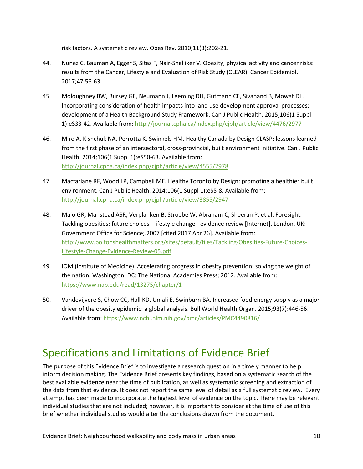risk factors. A systematic review. Obes Rev. 2010;11(3):202-21.

- 44. Nunez C, Bauman A, Egger S, Sitas F, Nair-Shalliker V. Obesity, physical activity and cancer risks: results from the Cancer, Lifestyle and Evaluation of Risk Study (CLEAR). Cancer Epidemiol. 2017;47:56-63.
- 45. Moloughney BW, Bursey GE, Neumann J, Leeming DH, Gutmann CE, Sivanand B, Mowat DL. Incorporating consideration of health impacts into land use development approval processes: development of a Health Background Study Framework. Can J Public Health. 2015;106(1 Suppl 1):eS33-42. Available from[: http://journal.cpha.ca/index.php/cjph/article/view/4476/2977](http://journal.cpha.ca/index.php/cjph/article/view/4476/2977)
- 46. Miro A, Kishchuk NA, Perrotta K, Swinkels HM. Healthy Canada by Design CLASP: lessons learned from the first phase of an intersectoral, cross-provincial, built environment initiative. Can J Public Health. 2014;106(1 Suppl 1):eS50-63. Available from: <http://journal.cpha.ca/index.php/cjph/article/view/4555/2978>
- 47. Macfarlane RF, Wood LP, Campbell ME. Healthy Toronto by Design: promoting a healthier built environment. Can J Public Health. 2014;106(1 Suppl 1):eS5-8. Available from: <http://journal.cpha.ca/index.php/cjph/article/view/3855/2947>
- 48. Maio GR, Manstead ASR, Verplanken B, Stroebe W, Abraham C, Sheeran P, et al. Foresight. Tackling obesities: future choices - lifestyle change - evidence review [Internet]. London, UK: Government Office for Science;.2007 [cited 2017 Apr 26]. Available from: [http://www.boltonshealthmatters.org/sites/default/files/Tackling-Obesities-Future-Choices-](http://www.boltonshealthmatters.org/sites/default/files/Tackling-Obesities-Future-Choices-Lifestyle-Change-Evidence-Review-05.pdf)[Lifestyle-Change-Evidence-Review-05.pdf](http://www.boltonshealthmatters.org/sites/default/files/Tackling-Obesities-Future-Choices-Lifestyle-Change-Evidence-Review-05.pdf)
- 49. IOM (Institute of Medicine). Accelerating progress in obesity prevention: solving the weight of the nation. Washington, DC: The National Academies Press; 2012. Available from: <https://www.nap.edu/read/13275/chapter/1>
- 50. Vandevijvere S, Chow CC, Hall KD, Umali E, Swinburn BA. Increased food energy supply as a major driver of the obesity epidemic: a global analysis. Bull World Health Organ. 2015;93(7):446-56. Available from[: https://www.ncbi.nlm.nih.gov/pmc/articles/PMC4490816/](https://www.ncbi.nlm.nih.gov/pmc/articles/PMC4490816/)

## Specifications and Limitations of Evidence Brief

The purpose of this Evidence Brief is to investigate a research question in a timely manner to help inform decision making. The Evidence Brief presents key findings, based on a systematic search of the best available evidence near the time of publication, as well as systematic screening and extraction of the data from that evidence. It does not report the same level of detail as a full systematic review. Every attempt has been made to incorporate the highest level of evidence on the topic. There may be relevant individual studies that are not included; however, it is important to consider at the time of use of this brief whether individual studies would alter the conclusions drawn from the document.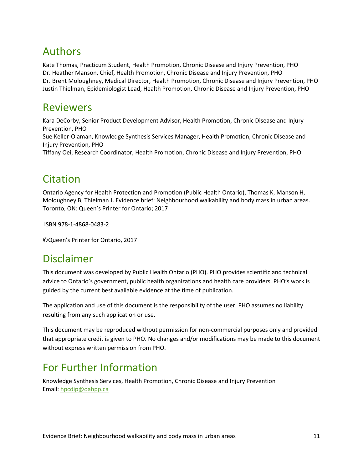## Authors

Kate Thomas, Practicum Student, Health Promotion, Chronic Disease and Injury Prevention, PHO Dr. Heather Manson, Chief, Health Promotion, Chronic Disease and Injury Prevention, PHO Dr. Brent Moloughney, Medical Director, Health Promotion, Chronic Disease and Injury Prevention, PHO Justin Thielman, Epidemiologist Lead, Health Promotion, Chronic Disease and Injury Prevention, PHO

### Reviewers

Kara DeCorby, Senior Product Development Advisor, Health Promotion, Chronic Disease and Injury Prevention, PHO Sue Keller-Olaman, Knowledge Synthesis Services Manager, Health Promotion, Chronic Disease and Injury Prevention, PHO Tiffany Oei, Research Coordinator, Health Promotion, Chronic Disease and Injury Prevention, PHO

## Citation

Ontario Agency for Health Protection and Promotion (Public Health Ontario), Thomas K, Manson H, Moloughney B, Thielman J. Evidence brief: Neighbourhood walkability and body mass in urban areas. Toronto, ON: Queen's Printer for Ontario; 2017

ISBN 978-1-4868-0483-2

©Queen's Printer for Ontario, 2017

### Disclaimer

This document was developed by Public Health Ontario (PHO). PHO provides scientific and technical advice to Ontario's government, public health organizations and health care providers. PHO's work is guided by the current best available evidence at the time of publication.

The application and use of this document is the responsibility of the user. PHO assumes no liability resulting from any such application or use.

This document may be reproduced without permission for non-commercial purposes only and provided that appropriate credit is given to PHO. No changes and/or modifications may be made to this document without express written permission from PHO.

## For Further Information

Knowledge Synthesis Services, Health Promotion, Chronic Disease and Injury Prevention Email: [hpcdip@oahpp.ca](mailto:hpcdip@oahpp.ca)